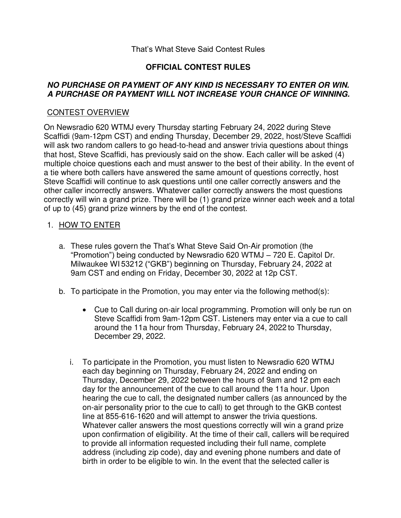#### That's What Steve Said Contest Rules

## **OFFICIAL CONTEST RULES**

## **NO PURCHASE OR PAYMENT OF ANY KIND IS NECESSARY TO ENTER OR WIN. A PURCHASE OR PAYMENT WILL NOT INCREASE YOUR CHANCE OF WINNING.**

## CONTEST OVERVIEW

On Newsradio 620 WTMJ every Thursday starting February 24, 2022 during Steve Scaffidi (9am-12pm CST) and ending Thursday, December 29, 2022, host/Steve Scaffidi will ask two random callers to go head-to-head and answer trivia questions about things that host, Steve Scaffidi, has previously said on the show. Each caller will be asked (4) multiple choice questions each and must answer to the best of their ability. In the event of a tie where both callers have answered the same amount of questions correctly, host Steve Scaffidi will continue to ask questions until one caller correctly answers and the other caller incorrectly answers. Whatever caller correctly answers the most questions correctly will win a grand prize. There will be (1) grand prize winner each week and a total of up to (45) grand prize winners by the end of the contest.

#### 1. HOW TO ENTER

- a. These rules govern the That's What Steve Said On-Air promotion (the "Promotion") being conducted by Newsradio 620 WTMJ – 720 E. Capitol Dr. Milwaukee WI 53212 ("GKB") beginning on Thursday, February 24, 2022 at 9am CST and ending on Friday, December 30, 2022 at 12p CST.
- b. To participate in the Promotion, you may enter via the following method(s):
	- Cue to Call during on-air local programming. Promotion will only be run on Steve Scaffidi from 9am-12pm CST. Listeners may enter via a cue to call around the 11a hour from Thursday, February 24, 2022 to Thursday, December 29, 2022.
	- i. To participate in the Promotion, you must listen to Newsradio 620 WTMJ each day beginning on Thursday, February 24, 2022 and ending on Thursday, December 29, 2022 between the hours of 9am and 12 pm each day for the announcement of the cue to call around the 11a hour. Upon hearing the cue to call, the designated number callers (as announced by the on-air personality prior to the cue to call) to get through to the GKB contest line at 855-616-1620 and will attempt to answer the trivia questions. Whatever caller answers the most questions correctly will win a grand prize upon confirmation of eligibility. At the time of their call, callers will be required to provide all information requested including their full name, complete address (including zip code), day and evening phone numbers and date of birth in order to be eligible to win. In the event that the selected caller is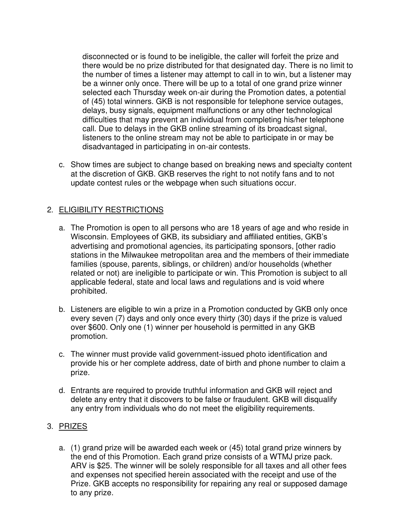disconnected or is found to be ineligible, the caller will forfeit the prize and there would be no prize distributed for that designated day. There is no limit to the number of times a listener may attempt to call in to win, but a listener may be a winner only once. There will be up to a total of one grand prize winner selected each Thursday week on-air during the Promotion dates, a potential of (45) total winners. GKB is not responsible for telephone service outages, delays, busy signals, equipment malfunctions or any other technological difficulties that may prevent an individual from completing his/her telephone call. Due to delays in the GKB online streaming of its broadcast signal, listeners to the online stream may not be able to participate in or may be disadvantaged in participating in on-air contests.

c. Show times are subject to change based on breaking news and specialty content at the discretion of GKB. GKB reserves the right to not notify fans and to not update contest rules or the webpage when such situations occur.

# 2. ELIGIBILITY RESTRICTIONS

- a. The Promotion is open to all persons who are 18 years of age and who reside in Wisconsin. Employees of GKB, its subsidiary and affiliated entities, GKB's advertising and promotional agencies, its participating sponsors, [other radio stations in the Milwaukee metropolitan area and the members of their immediate families (spouse, parents, siblings, or children) and/or households (whether related or not) are ineligible to participate or win. This Promotion is subject to all applicable federal, state and local laws and regulations and is void where prohibited.
- b. Listeners are eligible to win a prize in a Promotion conducted by GKB only once every seven (7) days and only once every thirty (30) days if the prize is valued over \$600. Only one (1) winner per household is permitted in any GKB promotion.
- c. The winner must provide valid government-issued photo identification and provide his or her complete address, date of birth and phone number to claim a prize.
- d. Entrants are required to provide truthful information and GKB will reject and delete any entry that it discovers to be false or fraudulent. GKB will disqualify any entry from individuals who do not meet the eligibility requirements.

#### 3. PRIZES

a. (1) grand prize will be awarded each week or (45) total grand prize winners by the end of this Promotion. Each grand prize consists of a WTMJ prize pack. ARV is \$25. The winner will be solely responsible for all taxes and all other fees and expenses not specified herein associated with the receipt and use of the Prize. GKB accepts no responsibility for repairing any real or supposed damage to any prize.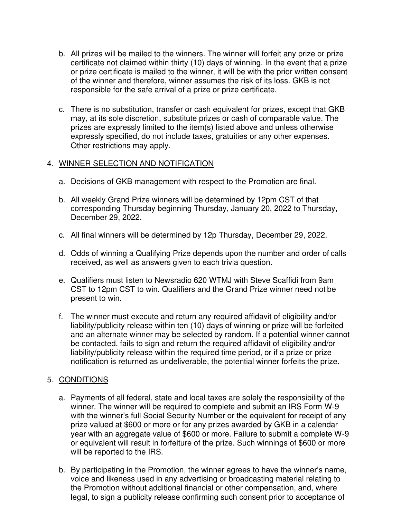- b. All prizes will be mailed to the winners. The winner will forfeit any prize or prize certificate not claimed within thirty (10) days of winning. In the event that a prize or prize certificate is mailed to the winner, it will be with the prior written consent of the winner and therefore, winner assumes the risk of its loss. GKB is not responsible for the safe arrival of a prize or prize certificate.
- c. There is no substitution, transfer or cash equivalent for prizes, except that GKB may, at its sole discretion, substitute prizes or cash of comparable value. The prizes are expressly limited to the item(s) listed above and unless otherwise expressly specified, do not include taxes, gratuities or any other expenses. Other restrictions may apply.

#### 4. WINNER SELECTION AND NOTIFICATION

- a. Decisions of GKB management with respect to the Promotion are final.
- b. All weekly Grand Prize winners will be determined by 12pm CST of that corresponding Thursday beginning Thursday, January 20, 2022 to Thursday, December 29, 2022.
- c. All final winners will be determined by 12p Thursday, December 29, 2022.
- d. Odds of winning a Qualifying Prize depends upon the number and order of calls received, as well as answers given to each trivia question.
- e. Qualifiers must listen to Newsradio 620 WTMJ with Steve Scaffidi from 9am CST to 12pm CST to win. Qualifiers and the Grand Prize winner need not be present to win.
- f. The winner must execute and return any required affidavit of eligibility and/or liability/publicity release within ten (10) days of winning or prize will be forfeited and an alternate winner may be selected by random. If a potential winner cannot be contacted, fails to sign and return the required affidavit of eligibility and/or liability/publicity release within the required time period, or if a prize or prize notification is returned as undeliverable, the potential winner forfeits the prize.

## 5. CONDITIONS

- a. Payments of all federal, state and local taxes are solely the responsibility of the winner. The winner will be required to complete and submit an IRS Form W-9 with the winner's full Social Security Number or the equivalent for receipt of any prize valued at \$600 or more or for any prizes awarded by GKB in a calendar year with an aggregate value of \$600 or more. Failure to submit a complete W-9 or equivalent will result in forfeiture of the prize. Such winnings of \$600 or more will be reported to the IRS.
- b. By participating in the Promotion, the winner agrees to have the winner's name, voice and likeness used in any advertising or broadcasting material relating to the Promotion without additional financial or other compensation, and, where legal, to sign a publicity release confirming such consent prior to acceptance of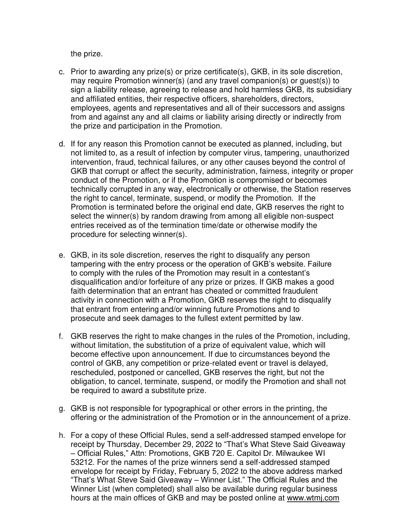the prize.

- c. Prior to awarding any prize(s) or prize certificate(s), GKB, in its sole discretion, may require Promotion winner(s) (and any travel companion(s) or guest(s)) to sign a liability release, agreeing to release and hold harmless GKB, its subsidiary and affiliated entities, their respective officers, shareholders, directors, employees, agents and representatives and all of their successors and assigns from and against any and all claims or liability arising directly or indirectly from the prize and participation in the Promotion.
- d. If for any reason this Promotion cannot be executed as planned, including, but not limited to, as a result of infection by computer virus, tampering, unauthorized intervention, fraud, technical failures, or any other causes beyond the control of GKB that corrupt or affect the security, administration, fairness, integrity or proper conduct of the Promotion, or if the Promotion is compromised or becomes technically corrupted in any way, electronically or otherwise, the Station reserves the right to cancel, terminate, suspend, or modify the Promotion. If the Promotion is terminated before the original end date, GKB reserves the right to select the winner(s) by random drawing from among all eligible non-suspect entries received as of the termination time/date or otherwise modify the procedure for selecting winner(s).
- e. GKB, in its sole discretion, reserves the right to disqualify any person tampering with the entry process or the operation of GKB's website. Failure to comply with the rules of the Promotion may result in a contestant's disqualification and/or forfeiture of any prize or prizes. If GKB makes a good faith determination that an entrant has cheated or committed fraudulent activity in connection with a Promotion, GKB reserves the right to disqualify that entrant from entering and/or winning future Promotions and to prosecute and seek damages to the fullest extent permitted by law.
- f. GKB reserves the right to make changes in the rules of the Promotion, including, without limitation, the substitution of a prize of equivalent value, which will become effective upon announcement. If due to circumstances beyond the control of GKB, any competition or prize-related event or travel is delayed, rescheduled, postponed or cancelled, GKB reserves the right, but not the obligation, to cancel, terminate, suspend, or modify the Promotion and shall not be required to award a substitute prize.
- g. GKB is not responsible for typographical or other errors in the printing, the offering or the administration of the Promotion or in the announcement of a prize.
- h. For a copy of these Official Rules, send a self-addressed stamped envelope for receipt by Thursday, December 29, 2022 to "That's What Steve Said Giveaway – Official Rules," Attn: Promotions, GKB 720 E. Capitol Dr. Milwaukee WI 53212. For the names of the prize winners send a self-addressed stamped envelope for receipt by Friday, February 5, 2022 to the above address marked "That's What Steve Said Giveaway – Winner List." The Official Rules and the Winner List (when completed) shall also be available during regular business hours at the main offices of GKB and may be posted online at www.wtmj.com